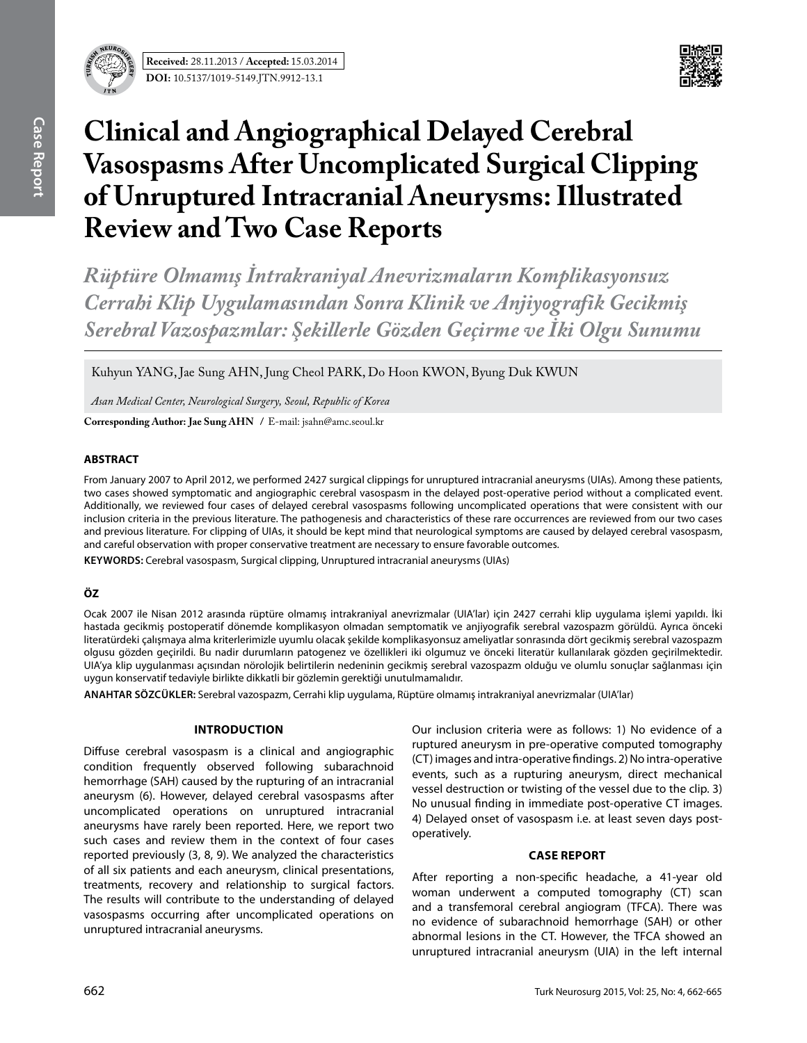



# **Clinical and Angiographical Delayed Cerebral Vasospasms After Uncomplicated Surgical Clipping of Unruptured Intracranial Aneurysms: Illustrated Review and Two Case Reports**

*Rüptüre Olmamış İntrakraniyal Anevrizmaların Komplikasyonsuz Cerrahi Klip Uygulamasından Sonra Klinik ve Anjiyografik Gecikmiş Serebral Vazospazmlar: Şekillerle Gözden Geçirme ve İki Olgu Sunumu*

Kuhyun YANG, Jae Sung AHN, Jung Cheol PARK, Do Hoon KWON, Byung Duk KWUN

*Asan Medical Center, Neurological Surgery, Seoul, Republic of Korea*

**Corresponding Author: Jae Sung Ahn /** E-mail: jsahn@amc.seoul.kr

## **ABSTRACT**

From January 2007 to April 2012, we performed 2427 surgical clippings for unruptured intracranial aneurysms (UIAs). Among these patients, two cases showed symptomatic and angiographic cerebral vasospasm in the delayed post-operative period without a complicated event. Additionally, we reviewed four cases of delayed cerebral vasospasms following uncomplicated operations that were consistent with our inclusion criteria in the previous literature. The pathogenesis and characteristics of these rare occurrences are reviewed from our two cases and previous literature. For clipping of UIAs, it should be kept mind that neurological symptoms are caused by delayed cerebral vasospasm, and careful observation with proper conservative treatment are necessary to ensure favorable outcomes.

**Keywords:** Cerebral vasospasm, Surgical clipping, Unruptured intracranial aneurysms (UIAs)

## **ÖZ**

Ocak 2007 ile Nisan 2012 arasında rüptüre olmamış intrakraniyal anevrizmalar (UIA'lar) için 2427 cerrahi klip uygulama işlemi yapıldı. İki hastada gecikmiş postoperatif dönemde komplikasyon olmadan semptomatik ve anjiyografik serebral vazospazm görüldü. Ayrıca önceki literatürdeki çalışmaya alma kriterlerimizle uyumlu olacak şekilde komplikasyonsuz ameliyatlar sonrasında dört gecikmiş serebral vazospazm olgusu gözden geçirildi. Bu nadir durumların patogenez ve özellikleri iki olgumuz ve önceki literatür kullanılarak gözden geçirilmektedir. UIA'ya klip uygulanması açısından nörolojik belirtilerin nedeninin gecikmiş serebral vazospazm olduğu ve olumlu sonuçlar sağlanması için uygun konservatif tedaviyle birlikte dikkatli bir gözlemin gerektiği unutulmamalıdır.

**ANAHTAR SÖZCÜKLER:** Serebral vazospazm, Cerrahi klip uygulama, Rüptüre olmamış intrakraniyal anevrizmalar (UIA'lar)

### **IntroductIon**

Diffuse cerebral vasospasm is a clinical and angiographic condition frequently observed following subarachnoid hemorrhage (SAH) caused by the rupturing of an intracranial aneurysm (6). However, delayed cerebral vasospasms after uncomplicated operations on unruptured intracranial aneurysms have rarely been reported. Here, we report two such cases and review them in the context of four cases reported previously (3, 8, 9). We analyzed the characteristics of all six patients and each aneurysm, clinical presentations, treatments, recovery and relationship to surgical factors. The results will contribute to the understanding of delayed vasospasms occurring after uncomplicated operations on unruptured intracranial aneurysms.

Our inclusion criteria were as follows: 1) No evidence of a ruptured aneurysm in pre-operative computed tomography (CT) images and intra-operative findings. 2) No intra-operative events, such as a rupturing aneurysm, direct mechanical vessel destruction or twisting of the vessel due to the clip. 3) No unusual finding in immediate post-operative CT images. 4) Delayed onset of vasospasm i.e. at least seven days postoperatively.

### **CASE REPORT**

After reporting a non-specific headache, a 41-year old woman underwent a computed tomography (CT) scan and a transfemoral cerebral angiogram (TFCA). There was no evidence of subarachnoid hemorrhage (SAH) or other abnormal lesions in the CT. However, the TFCA showed an unruptured intracranial aneurysm (UIA) in the left internal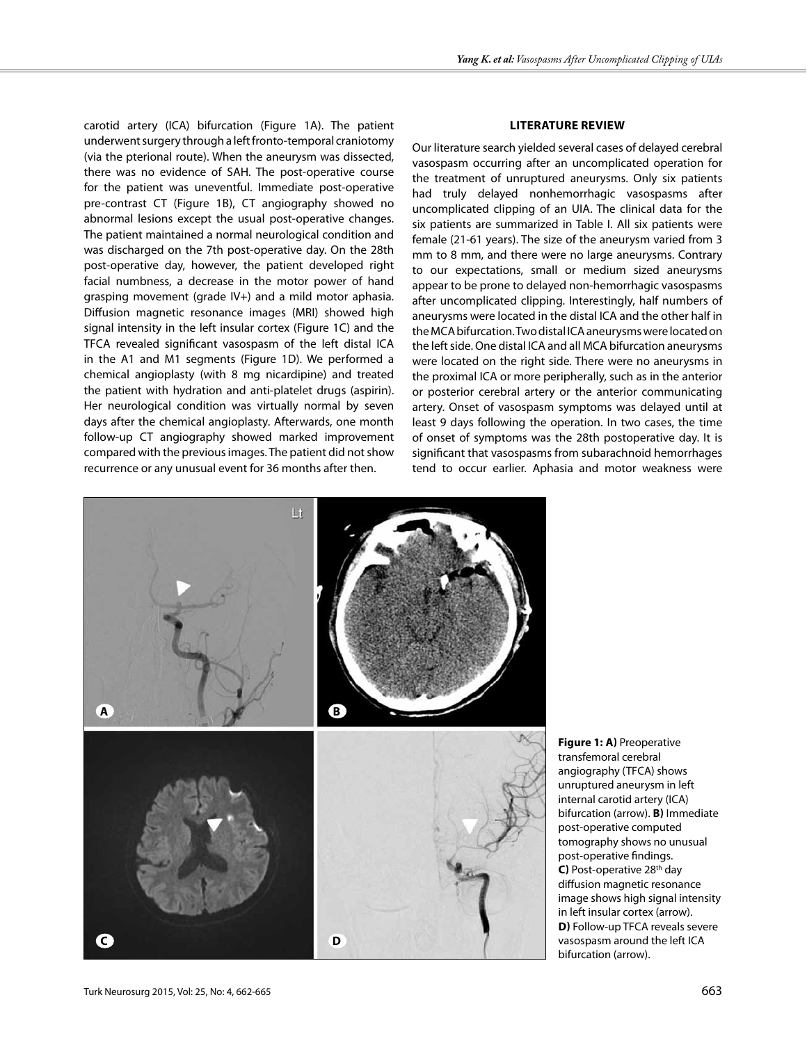carotid artery (ICA) bifurcation (Figure 1a). The patient underwent surgery through a left fronto-temporal craniotomy (via the pterional route). When the aneurysm was dissected, there was no evidence of SAH. The post-operative course for the patient was uneventful. Immediate post-operative pre-contrast CT (Figure 1B), CT angiography showed no abnormal lesions except the usual post-operative changes. The patient maintained a normal neurological condition and was discharged on the 7th post-operative day. On the 28th post-operative day, however, the patient developed right facial numbness, a decrease in the motor power of hand grasping movement (grade IV+) and a mild motor aphasia. Diffusion magnetic resonance images (MRI) showed high signal intensity in the left insular cortex (Figure 1c) and the TFCA revealed significant vasospasm of the left distal ICA in the A1 and M1 segments (Figure 1D). We performed a chemical angioplasty (with 8 mg nicardipine) and treated the patient with hydration and anti-platelet drugs (aspirin). Her neurological condition was virtually normal by seven days after the chemical angioplasty. Afterwards, one month follow-up CT angiography showed marked improvement compared with the previous images. The patient did not show recurrence or any unusual event for 36 months after then.

### **LITERATURE REVIEW**

Our literature search yielded several cases of delayed cerebral vasospasm occurring after an uncomplicated operation for the treatment of unruptured aneurysms. Only six patients had truly delayed nonhemorrhagic vasospasms after uncomplicated clipping of an UIA. The clinical data for the six patients are summarized in Table I. All six patients were female (21-61 years). The size of the aneurysm varied from 3 mm to 8 mm, and there were no large aneurysms. Contrary to our expectations, small or medium sized aneurysms appear to be prone to delayed non-hemorrhagic vasospasms after uncomplicated clipping. Interestingly, half numbers of aneurysms were located in the distal ICA and the other half in the MCA bifurcation. Two distal ICA aneurysms were located on the left side. One distal ICA and all MCA bifurcation aneurysms were located on the right side. There were no aneurysms in the proximal ICA or more peripherally, such as in the anterior or posterior cerebral artery or the anterior communicating artery. Onset of vasospasm symptoms was delayed until at least 9 days following the operation. In two cases, the time of onset of symptoms was the 28th postoperative day. It is significant that vasospasms from subarachnoid hemorrhages tend to occur earlier. Aphasia and motor weakness were



**Figure 1: a)** Preoperative transfemoral cerebral angiography (TFCA) shows unruptured aneurysm in left internal carotid artery (ICA) bifurcation (arrow). **B)** Immediate post-operative computed tomography shows no unusual post-operative findings. **C)** Post-operative 28<sup>th</sup> day diffusion magnetic resonance image shows high signal intensity in left insular cortex (arrow). **D)** Follow-up TFCA reveals severe vasospasm around the left ICA bifurcation (arrow).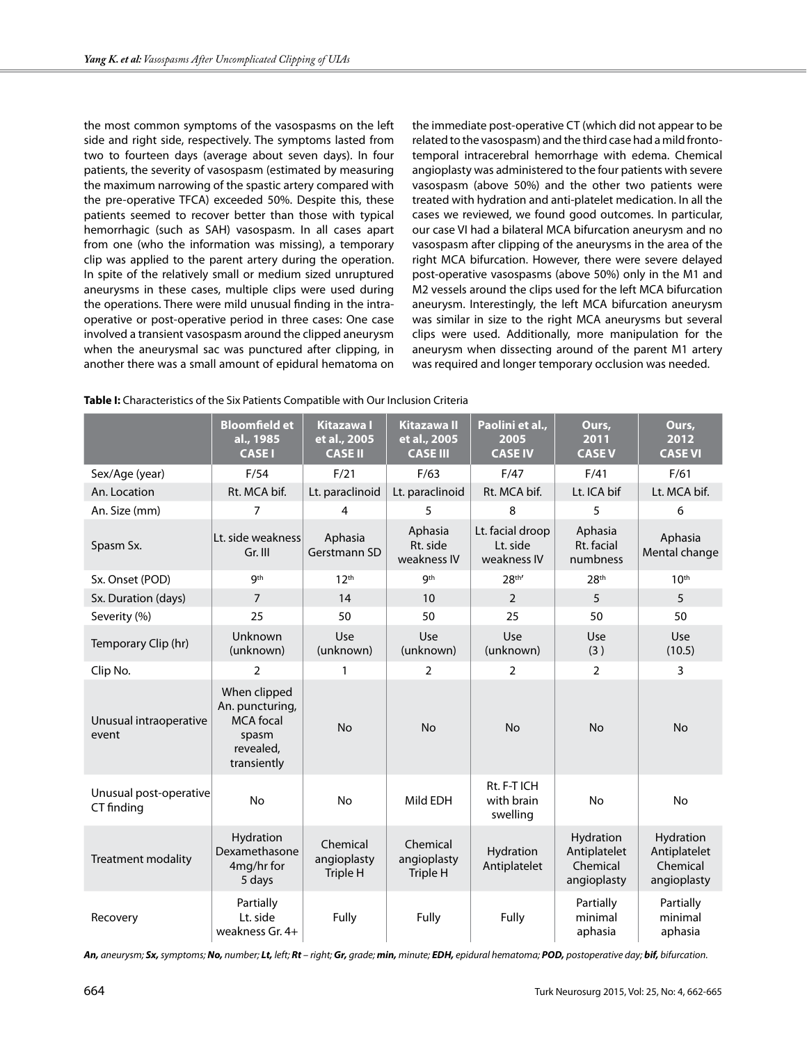the most common symptoms of the vasospasms on the left side and right side, respectively. The symptoms lasted from two to fourteen days (average about seven days). In four patients, the severity of vasospasm (estimated by measuring the maximum narrowing of the spastic artery compared with the pre-operative TFCA) exceeded 50%. Despite this, these patients seemed to recover better than those with typical hemorrhagic (such as SAH) vasospasm. In all cases apart from one (who the information was missing), a temporary clip was applied to the parent artery during the operation. In spite of the relatively small or medium sized unruptured aneurysms in these cases, multiple clips were used during the operations. There were mild unusual finding in the intraoperative or post-operative period in three cases: One case involved a transient vasospasm around the clipped aneurysm when the aneurysmal sac was punctured after clipping, in another there was a small amount of epidural hematoma on the immediate post-operative CT (which did not appear to be related to the vasospasm) and the third case had a mild frontotemporal intracerebral hemorrhage with edema. Chemical angioplasty was administered to the four patients with severe vasospasm (above 50%) and the other two patients were treated with hydration and anti-platelet medication. In all the cases we reviewed, we found good outcomes. In particular, our case VI had a bilateral MCA bifurcation aneurysm and no vasospasm after clipping of the aneurysms in the area of the right MCA bifurcation. However, there were severe delayed post-operative vasospasms (above 50%) only in the M1 and M2 vessels around the clips used for the left MCA bifurcation aneurysm. Interestingly, the left MCA bifurcation aneurysm was similar in size to the right MCA aneurysms but several clips were used. Additionally, more manipulation for the aneurysm when dissecting around of the parent M1 artery was required and longer temporary occlusion was needed.

|                                      | <b>Bloomfield et</b><br>al., 1985<br><b>CASEI</b>                                        | <b>Kitazawa I</b><br>et al., 2005<br><b>CASE II</b> | <b>Kitazawa II</b><br>et al., 2005<br><b>CASE III</b> | Paolini et al.,<br>2005<br><b>CASE IV</b>   | Ours,<br>2011<br><b>CASEV</b>                        | Ours,<br>2012<br><b>CASE VI</b>                      |
|--------------------------------------|------------------------------------------------------------------------------------------|-----------------------------------------------------|-------------------------------------------------------|---------------------------------------------|------------------------------------------------------|------------------------------------------------------|
| Sex/Age (year)                       | F/54                                                                                     | F/21                                                | F/63                                                  | F/47                                        | F/41                                                 | F/61                                                 |
| An. Location                         | Rt. MCA bif.                                                                             | Lt. paraclinoid                                     | Lt. paraclinoid                                       | Rt. MCA bif.                                | Lt. ICA bif                                          | Lt. MCA bif.                                         |
| An. Size (mm)                        | 7                                                                                        | 4                                                   | 5                                                     | 8                                           | 5                                                    | 6                                                    |
| Spasm Sx.                            | Lt. side weakness<br>Gr. III                                                             | Aphasia<br>Gerstmann SD                             | Aphasia<br>Rt. side<br>weakness IV                    | Lt. facial droop<br>Lt. side<br>weakness IV | Aphasia<br>Rt. facial<br>numbness                    | Aphasia<br>Mental change                             |
| Sx. Onset (POD)                      | <b>gth</b>                                                                               | 12 <sup>th</sup>                                    | <b>gth</b>                                            | 28th'                                       | 28 <sup>th</sup>                                     | 10 <sup>th</sup>                                     |
| Sx. Duration (days)                  | $\overline{7}$                                                                           | 14                                                  | 10                                                    | $\overline{2}$                              | 5                                                    | 5                                                    |
| Severity (%)                         | 25                                                                                       | 50                                                  | 50                                                    | 25                                          | 50                                                   | 50                                                   |
| Temporary Clip (hr)                  | Unknown<br>(unknown)                                                                     | Use<br>(unknown)                                    | Use<br>(unknown)                                      | <b>Use</b><br>(unknown)                     | Use<br>(3)                                           | <b>Use</b><br>(10.5)                                 |
| Clip No.                             | $\overline{2}$                                                                           | 1                                                   | 2                                                     | 2                                           | $\overline{2}$                                       | 3                                                    |
| Unusual intraoperative<br>event      | When clipped<br>An. puncturing,<br><b>MCA</b> focal<br>spasm<br>revealed,<br>transiently | <b>No</b>                                           | <b>No</b>                                             | <b>No</b>                                   | <b>No</b>                                            | <b>No</b>                                            |
| Unusual post-operative<br>CT finding | <b>No</b>                                                                                | No                                                  | Mild EDH                                              | Rt. F-T ICH<br>with brain<br>swelling       | <b>No</b>                                            | No                                                   |
| <b>Treatment modality</b>            | Hydration<br>Dexamethasone<br>4mg/hr for<br>5 days                                       | Chemical<br>angioplasty<br>Triple H                 | Chemical<br>angioplasty<br>Triple H                   | Hydration<br>Antiplatelet                   | Hydration<br>Antiplatelet<br>Chemical<br>angioplasty | Hydration<br>Antiplatelet<br>Chemical<br>angioplasty |
| Recovery                             | Partially<br>Lt. side<br>weakness Gr. 4+                                                 | Fully                                               | Fully                                                 | Fully                                       | Partially<br>minimal<br>aphasia                      | Partially<br>minimal<br>aphasia                      |

**Table I:** Characteristics of the Six Patients Compatible with Our Inclusion Criteria

An, aneurysm; Sx, symptoms; No, number; Lt, left; Rt - right; Gr, grade; min, minute; EDH, epidural hematoma; POD, postoperative day; bif, bifurcation.